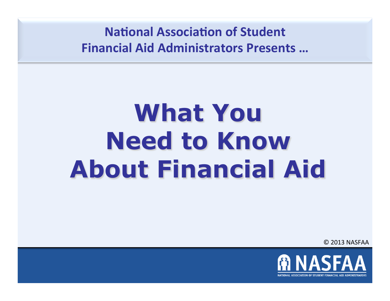**National Association of Student Financial Aid Administrators Presents ...** 

# **What You Need to Know About Financial Aid**

© 2013 NASFAA 

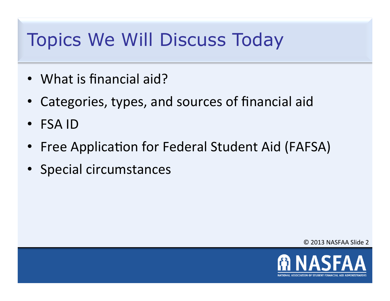# Topics We Will Discuss Today

- What is financial aid?
- Categories, types, and sources of financial aid
- FSA ID
- Free Application for Federal Student Aid (FAFSA)
- Special circumstances

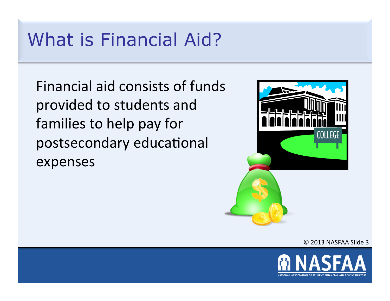#### What is Financial Aid?

Financial aid consists of funds provided to students and families to help pay for postsecondary educational expenses 



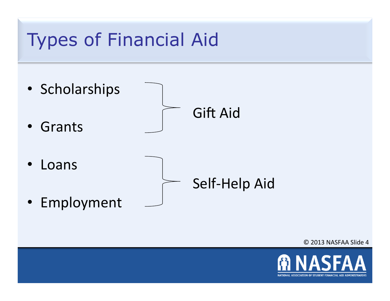

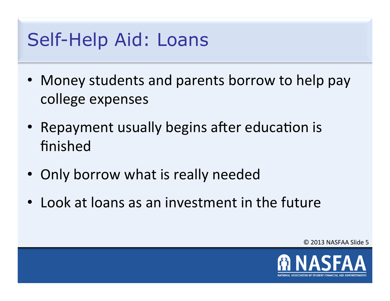# Self-Help Aid: Loans

- Money students and parents borrow to help pay college expenses
- Repayment usually begins after education is finished
- Only borrow what is really needed
- Look at loans as an investment in the future

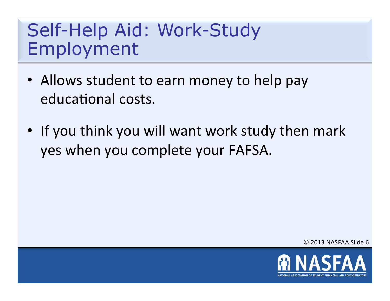## Self-Help Aid: Work-Study Employment

- Allows student to earn money to help pay educational costs.
- If you think you will want work study then mark yes when you complete your FAFSA.

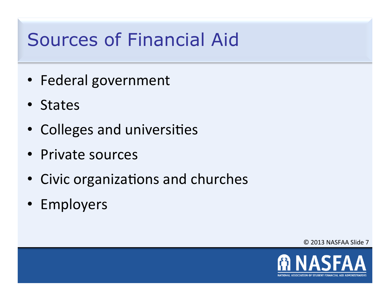# Sources of Financial Aid

- Federal government
- States
- Colleges and universities
- Private sources
- Civic organizations and churches
- Employers

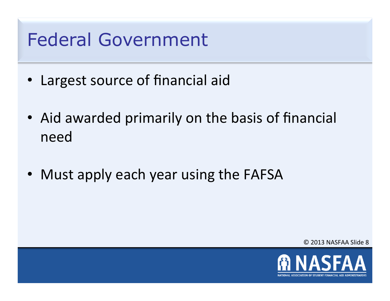## Federal Government

- Largest source of financial aid
- Aid awarded primarily on the basis of financial need
- Must apply each year using the FAFSA

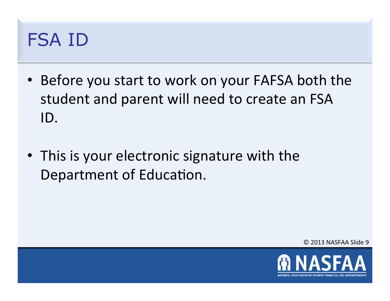## FSA ID

- Before you start to work on your FAFSA both the student and parent will need to create an FSA ID.
- This is your electronic signature with the Department of Education.

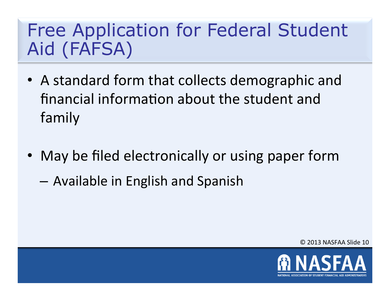# Free Application for Federal Student Aid (FAFSA)

- A standard form that collects demographic and financial information about the student and family
- May be filed electronically or using paper form
	- $-$  Available in English and Spanish

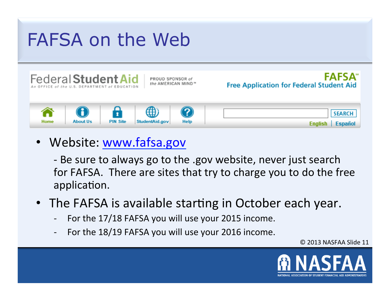# FAFSA on the Web



PROUD SPONSOR of the AMERICAN MIND"

**FAFSA**\* **Free Application for Federal Student Aid** 



• Website: www.fafsa.gov

- Be sure to always go to the .gov website, never just search for FAFSA. There are sites that try to charge you to do the free application.

- The FAFSA is available starting in October each year.
	- For the 17/18 FAFSA you will use your 2015 income.
	- For the 18/19 FAFSA you will use your 2016 income.

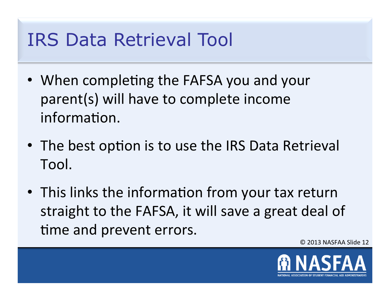## IRS Data Retrieval Tool

- When completing the FAFSA you and your parent(s) will have to complete income information.
- The best option is to use the IRS Data Retrieval Tool.
- This links the information from your tax return straight to the FAFSA, it will save a great deal of time and prevent errors.

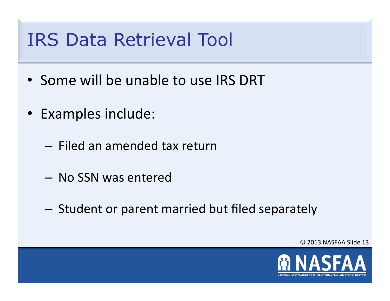#### IRS Data Retrieval Tool

- Some will be unable to use IRS DRT
- Examples include:
	- Filed an amended tax return
	- No SSN was entered
	- $-$  Student or parent married but filed separately

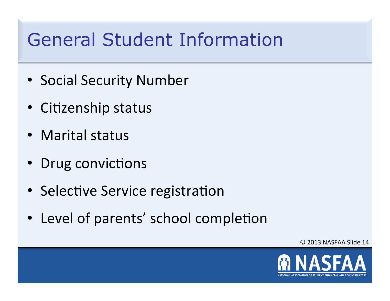# General Student Information

- Social Security Number
- Citizenship status
- Marital status
- Drug convictions
- Selective Service registration
- Level of parents' school completion

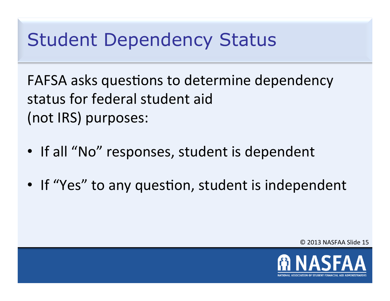# Student Dependency Status

FAFSA asks questions to determine dependency status for federal student aid (not IRS) purposes:

- If all "No" responses, student is dependent
- If "Yes" to any question, student is independent

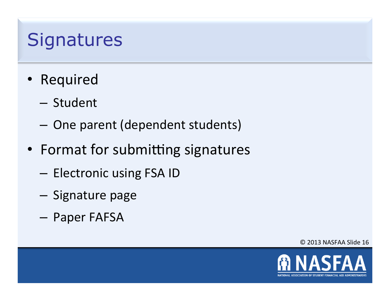## **Signatures**

- Required
	- Student
	- $-$  One parent (dependent students)
- Format for submitting signatures
	- Electronic using FSA ID
	- Signature page
	- Paper FAFSA

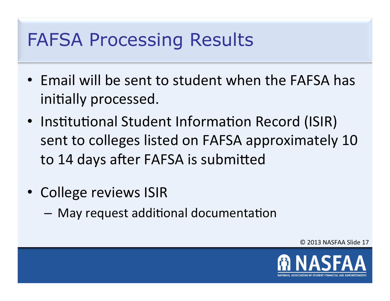# FAFSA Processing Results

- Email will be sent to student when the FAFSA has initially processed.
- Institutional Student Information Record (ISIR) sent to colleges listed on FAFSA approximately 10 to 14 days after FAFSA is submitted
- College reviews ISIR
	- $-$  May request additional documentation

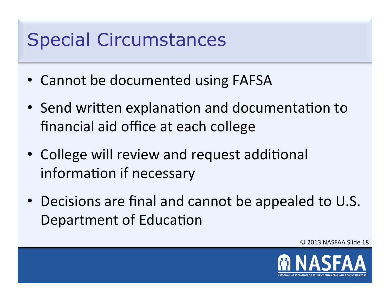## Special Circumstances

- Cannot be documented using FAFSA
- Send written explanation and documentation to financial aid office at each college
- College will review and request additional information if necessary
- Decisions are final and cannot be appealed to U.S. Department of Education